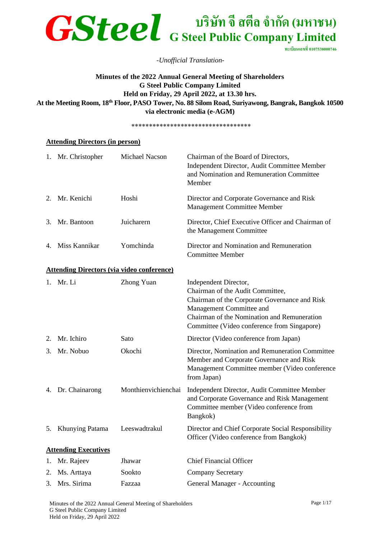

**ทะเบียนเลขที่0107538000746**

#### *-Unofficial Translation-*

## **Minutes of the 2022 Annual General Meeting of Shareholders G Steel Public Company Limited Held on Friday, 29 April 2022, at 13.30 hrs. At the Meeting Room, 18th Floor, PASO Tower, No. 88 Silom Road, Suriyawong, Bangrak, Bangkok 10500 via electronic media (e-AGM)**

\*\*\*\*\*\*\*\*\*\*\*\*\*\*\*\*\*\*\*\*\*\*\*\*\*\*\*\*\*\*\*\*\*\*

#### **Attending Directors (in person)**

|    | 1. Mr. Christopher                                | Michael Nacson      | Chairman of the Board of Directors,<br>Independent Director, Audit Committee Member<br>and Nomination and Remuneration Committee<br>Member                                                                                           |
|----|---------------------------------------------------|---------------------|--------------------------------------------------------------------------------------------------------------------------------------------------------------------------------------------------------------------------------------|
|    | 2. Mr. Kenichi                                    | Hoshi               | Director and Corporate Governance and Risk<br><b>Management Committee Member</b>                                                                                                                                                     |
| 3. | Mr. Bantoon                                       | Juicharern          | Director, Chief Executive Officer and Chairman of<br>the Management Committee                                                                                                                                                        |
| 4. | Miss Kannikar                                     | Yomchinda           | Director and Nomination and Remuneration<br><b>Committee Member</b>                                                                                                                                                                  |
|    | <b>Attending Directors (via video conference)</b> |                     |                                                                                                                                                                                                                                      |
|    | 1. Mr. Li                                         | <b>Zhong Yuan</b>   | Independent Director,<br>Chairman of the Audit Committee,<br>Chairman of the Corporate Governance and Risk<br>Management Committee and<br>Chairman of the Nomination and Remuneration<br>Committee (Video conference from Singapore) |
| 2. | Mr. Ichiro                                        | Sato                | Director (Video conference from Japan)                                                                                                                                                                                               |
| 3. | Mr. Nobuo                                         | Okochi              | Director, Nomination and Remuneration Committee<br>Member and Corporate Governance and Risk<br>Management Committee member (Video conference<br>from Japan)                                                                          |
|    | 4. Dr. Chainarong                                 | Monthienvichienchai | Independent Director, Audit Committee Member<br>and Corporate Governance and Risk Management<br>Committee member (Video conference from<br>Bangkok)                                                                                  |
| 5. | Khunying Patama                                   | Leeswadtrakul       | Director and Chief Corporate Social Responsibility<br>Officer (Video conference from Bangkok)                                                                                                                                        |
|    | <b>Attending Executives</b>                       |                     |                                                                                                                                                                                                                                      |
| 1. | Mr. Rajeev                                        | Jhawar              | <b>Chief Financial Officer</b>                                                                                                                                                                                                       |
| 2. | Ms. Arttaya                                       | Sookto              | <b>Company Secretary</b>                                                                                                                                                                                                             |
| 3. | Mrs. Sirima                                       | Fazzaa              | General Manager - Accounting                                                                                                                                                                                                         |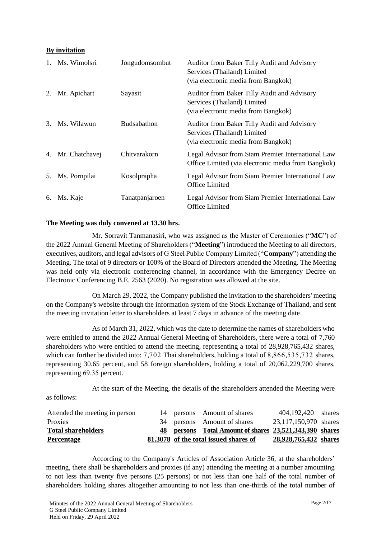## **By invitation**

| $1_{\cdot}$ | Ms. Wimolsri      | Jongudomsombut     | Auditor from Baker Tilly Audit and Advisory<br>Services (Thailand) Limited<br>(via electronic media from Bangkok) |
|-------------|-------------------|--------------------|-------------------------------------------------------------------------------------------------------------------|
| 2.          | Mr. Apichart      | Sayasit            | Auditor from Baker Tilly Audit and Advisory<br>Services (Thailand) Limited<br>(via electronic media from Bangkok) |
| 3.          | Ms. Wilawun       | <b>Budsabathon</b> | Auditor from Baker Tilly Audit and Advisory<br>Services (Thailand) Limited<br>(via electronic media from Bangkok) |
|             | 4. Mr. Chatchavej | Chitvarakorn       | Legal Advisor from Siam Premier International Law<br>Office Limited (via electronic media from Bangkok)           |
| 5.          | Ms. Pornpilai     | Kosolprapha        | Legal Advisor from Siam Premier International Law<br>Office Limited                                               |
| 6.          | Ms. Kaje          | Tanatpanjaroen     | Legal Advisor from Siam Premier International Law<br>Office Limited                                               |

#### **The Meeting was duly convened at 13.30 hrs.**

Mr. Sorravit Tanmanasiri, who was assigned as the Master of Ceremonies ("**MC**") of the 2022 Annual General Meeting of Shareholders ("**Meeting**") introduced the Meeting to all directors, executives, auditors, and legal advisors of G Steel Public Company Limited ("**Company**") attending the Meeting. The total of 9 directors or 100% of the Board of Directors attended the Meeting. The Meeting was held only via electronic conferencing channel, in accordance with the Emergency Decree on Electronic Conferencing B.E. 2563 (2020). No registration was allowed at the site.

On March 29, 2022, the Company published the invitation to the shareholders' meeting on the Company's website through the information system of the Stock Exchange of Thailand, and sent the meeting invitation letter to shareholders at least 7 days in advance of the meeting date.

As of March 31, 2022, which was the date to determine the names of shareholders who were entitled to attend the 2022 Annual General Meeting of Shareholders, there were a total of 7,760 shareholders who were entitled to attend the meeting, representing a total of 28,928,765,432 shares, which can further be divided into: 7,702 Thai shareholders, holding a total of 8,866,535,732 shares, representing 30.65 percent, and 58 foreign shareholders, holding a total of 20,062,229,700 shares, representing 69.35 percent.

At the start of the Meeting, the details of the shareholders attended the Meeting were as follows:

| Attended the meeting in person |  | 14 persons Amount of shares                             | 404,192,420 shares    |  |
|--------------------------------|--|---------------------------------------------------------|-----------------------|--|
| <b>Proxies</b>                 |  | 34 persons Amount of shares                             | 23,117,150,970 shares |  |
| <b>Total shareholders</b>      |  | 48 persons Total Amount of shares 23,521,343,390 shares |                       |  |
| <b>Percentage</b>              |  | 81.3078 of the total issued shares of                   | 28,928,765,432 shares |  |

According to the Company's Articles of Association Article 36, at the shareholders' meeting, there shall be shareholders and proxies (if any) attending the meeting at a number amounting to not less than twenty five persons (25 persons) or not less than one half of the total number of shareholders holding shares altogether amounting to not less than one-thirds of the total number of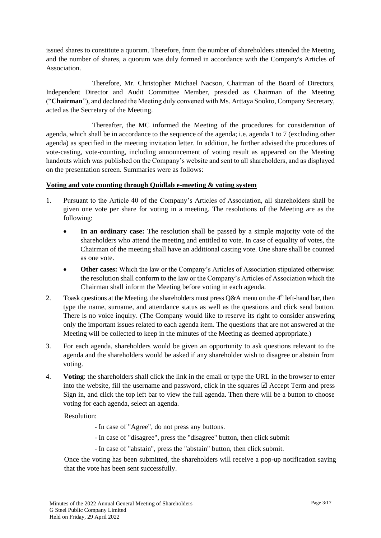issued shares to constitute a quorum. Therefore, from the number of shareholders attended the Meeting and the number of shares, a quorum was duly formed in accordance with the Company's Articles of Association.

Therefore, Mr. Christopher Michael Nacson, Chairman of the Board of Directors, Independent Director and Audit Committee Member, presided as Chairman of the Meeting ("**Chairman**"), and declared the Meeting duly convened with Ms. Arttaya Sookto, Company Secretary, acted as the Secretary of the Meeting.

Thereafter, the MC informed the Meeting of the procedures for consideration of agenda, which shall be in accordance to the sequence of the agenda; i.e. agenda 1 to 7 (excluding other agenda) as specified in the meeting invitation letter. In addition, he further advised the procedures of vote-casting, vote-counting, including announcement of voting result as appeared on the Meeting handouts which was published on the Company's website and sent to all shareholders, and as displayed on the presentation screen. Summaries were as follows:

#### **Voting and vote counting through Quidlab e-meeting & voting system**

- 1. Pursuant to the Article 40 of the Company's Articles of Association, all shareholders shall be given one vote per share for voting in a meeting. The resolutions of the Meeting are as the following:
	- **In an ordinary case:** The resolution shall be passed by a simple majority vote of the shareholders who attend the meeting and entitled to vote. In case of equality of votes, the Chairman of the meeting shall have an additional casting vote. One share shall be counted as one vote.
	- **Other cases:** Which the law or the Company's Articles of Association stipulated otherwise: the resolution shall conform to the law or the Company's Articles of Association which the Chairman shall inform the Meeting before voting in each agenda.
- 2. Toask questions at the Meeting, the shareholders must press  $Q&A$  menu on the 4<sup>th</sup> left-hand bar, then type the name, surname, and attendance status as well as the questions and click send button. There is no voice inquiry. (The Company would like to reserve its right to consider answering only the important issues related to each agenda item. The questions that are not answered at the Meeting will be collected to keep in the minutes of the Meeting as deemed appropriate.)
- 3. For each agenda, shareholders would be given an opportunity to ask questions relevant to the agenda and the shareholders would be asked if any shareholder wish to disagree or abstain from voting.
- 4. **Voting**: the shareholders shall click the link in the email or type the URL in the browser to enter into the website, fill the username and password, click in the squares  $\boxtimes$  Accept Term and press Sign in, and click the top left bar to view the full agenda. Then there will be a button to choose voting for each agenda, select an agenda.

Resolution:

- In case of "Agree", do not press any buttons.
- In case of "disagree", press the "disagree" button, then click submit
- In case of "abstain", press the "abstain" button, then click submit.

Once the voting has been submitted, the shareholders will receive a pop-up notification saying that the vote has been sent successfully.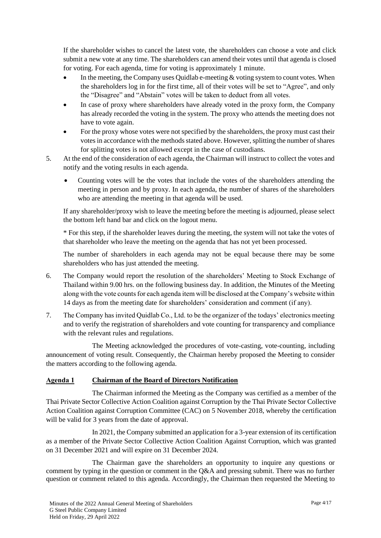If the shareholder wishes to cancel the latest vote, the shareholders can choose a vote and click submit a new vote at any time. The shareholders can amend their votes until that agenda is closed for voting. For each agenda, time for voting is approximately 1 minute.

- In the meeting, the Company uses Quidlab e-meeting  $\&$  voting system to count votes. When the shareholders log in for the first time, all of their votes will be set to "Agree", and only the "Disagree" and "Abstain" votes will be taken to deduct from all votes.
- In case of proxy where shareholders have already voted in the proxy form, the Company has already recorded the voting in the system. The proxy who attends the meeting does not have to vote again.
- For the proxy whose votes were not specified by the shareholders, the proxy must cast their votes in accordance with the methods stated above. However, splitting the number of shares for splitting votes is not allowed except in the case of custodians.
- 5. At the end of the consideration of each agenda, the Chairman will instruct to collect the votes and notify and the voting results in each agenda.
	- Counting votes will be the votes that include the votes of the shareholders attending the meeting in person and by proxy. In each agenda, the number of shares of the shareholders who are attending the meeting in that agenda will be used.

If any shareholder/proxy wish to leave the meeting before the meeting is adjourned, please select the bottom left hand bar and click on the logout menu.

\* For this step, if the shareholder leaves during the meeting, the system will not take the votes of that shareholder who leave the meeting on the agenda that has not yet been processed.

The number of shareholders in each agenda may not be equal because there may be some shareholders who has just attended the meeting.

- 6. The Company would report the resolution of the shareholders' Meeting to Stock Exchange of Thailand within 9.00 hrs. on the following business day. In addition, the Minutes of the Meeting along with the vote counts for each agenda item will be disclosed at the Company's website within 14 days as from the meeting date for shareholders' consideration and comment (if any).
- 7. The Company has invited Quidlab Co., Ltd. to be the organizer of the todays' electronics meeting and to verify the registration of shareholders and vote counting for transparency and compliance with the relevant rules and regulations.

The Meeting acknowledged the procedures of vote-casting, vote-counting, including announcement of voting result. Consequently, the Chairman hereby proposed the Meeting to consider the matters according to the following agenda.

## **Agenda 1 Chairman of the Board of Directors Notification**

The Chairman informed the Meeting as the Company was certified as a member of the Thai Private Sector Collective Action Coalition against Corruption by the Thai Private Sector Collective Action Coalition against Corruption Committee (CAC) on 5 November 2018, whereby the certification will be valid for 3 years from the date of approval.

In 2021, the Company submitted an application for a 3-year extension of its certification as a member of the Private Sector Collective Action Coalition Against Corruption, which was granted on 31 December 2021 and will expire on 31 December 2024.

The Chairman gave the shareholders an opportunity to inquire any questions or comment by typing in the question or comment in the Q&A and pressing submit. There was no further question or comment related to this agenda. Accordingly, the Chairman then requested the Meeting to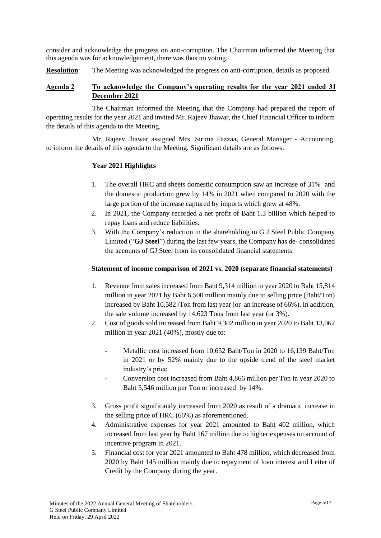consider and acknowledge the progress on anti-corruption. The Chairman informed the Meeting that this agenda was for acknowledgement, there was thus no voting.

**Resolution:** The Meeting was acknowledged the progress on anti-corruption, details as proposed.

## **Agenda 2 To acknowledge the Company's operating results for the year 2021 ended 31 December 2021**

The Chairman informed the Meeting that the Company had prepared the report of operating results for the year 2021 and invited Mr. Rajeev Jhawar, the Chief Financial Officer to inform the details of this agenda to the Meeting.

Mr. Rajeev Jhawar assigned Mrs. Sirima Fazzaa, General Manager - Accounting, to inform the details of this agenda to the Meeting. Significant details are as follows:

## **Year 2021 Highlights**

- 1. The overall HRC and sheets domestic consumption saw an increase of 31% and the domestic production grew by 14% in 2021 when compared to 2020 with the large portion of the increase captured by imports which grew at 48%.
- 2. In 2021, the Company recorded a net profit of Baht 1.3 billion which helped to repay loans and reduce liabilities.
- 3. With the Company's reduction in the shareholding in G J Steel Public Company Limited ("**GJ Steel**") during the last few years, the Company has de- consolidated the accounts of GJ Steel from its consolidated financial statements.

#### **Statement of income comparison of 2021 vs. 2020 (separate financial statements)**

- 1. Revenue from sales increased from Baht 9,314 million in year 2020 to Baht 15,814 million in year 2021 by Baht 6,500 million mainly due to selling price (Baht/Ton) increased by Baht 10,582 /Ton from last year (or an increase of 66%). In addition, the sale volume increased by 14,623 Tons from last year (or 3%).
- 2. Cost of goods sold increased from Baht 9,302 million in year 2020 to Baht 13,062 million in year 2021 (40%), mostly due to:
	- Metallic cost increased from 10,652 Baht/Ton in 2020 to 16,139 Baht/Ton in 2021 or by 52% mainly due to the upside trend of the steel market industry's price.
	- Conversion cost increased from Baht 4,866 million per Ton in year 2020 to Baht 5,546 million per Ton or increased by 14%.
- 3. Gross profit significantly increased from 2020 as result of a dramatic increase in the selling price of HRC (66%) as aforementioned.
- 4. Administrative expenses for year 2021 amounted to Baht 402 million, which increased from last year by Baht 167 million due to higher expenses on account of incentive program in 2021.
- 5. Financial cost for year 2021 amounted to Baht 478 million, which decreased from 2020 by Baht 145 million mainly due to repayment of loan interest and Letter of Credit by the Company during the year.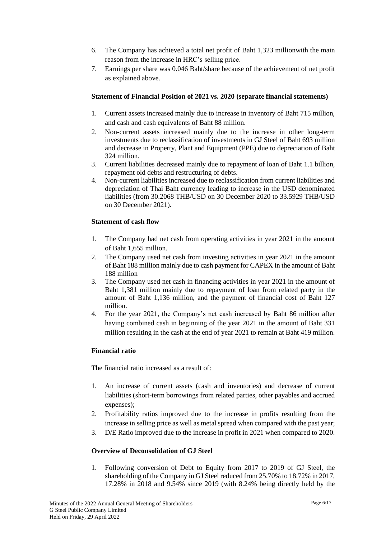- 6. The Company has achieved a total net profit of Baht 1,323 millionwith the main reason from the increase in HRC's selling price.
- 7. Earnings per share was 0.046 Baht/share because of the achievement of net profit as explained above.

## **Statement of Financial Position of 2021 vs. 2020 (separate financial statements)**

- 1. Current assets increased mainly due to increase in inventory of Baht 715 million, and cash and cash equivalents of Baht 88 million.
- 2. Non-current assets increased mainly due to the increase in other long-term investments due to reclassification of investments in GJ Steel of Baht 693 million and decrease in Property, Plant and Equipment (PPE) due to depreciation of Baht 324 million.
- 3. Current liabilities decreased mainly due to repayment of loan of Baht 1.1 billion, repayment old debts and restructuring of debts.
- 4. Non-current liabilities increased due to reclassification from current liabilities and depreciation of Thai Baht currency leading to increase in the USD denominated liabilities (from 30.2068 THB/USD on 30 December 2020 to 33.5929 THB/USD on 30 December 2021).

## **Statement of cash flow**

- 1. The Company had net cash from operating activities in year 2021 in the amount of Baht 1,655 million.
- 2. The Company used net cash from investing activities in year 2021 in the amount of Baht 188 million mainly due to cash payment for CAPEX in the amount of Baht 188 million
- 3. The Company used net cash in financing activities in year 2021 in the amount of Baht 1,381 million mainly due to repayment of loan from related party in the amount of Baht 1,136 million, and the payment of financial cost of Baht 127 million.
- 4. For the year 2021, the Company's net cash increased by Baht 86 million after having combined cash in beginning of the year 2021 in the amount of Baht 331 million resulting in the cash at the end of year 2021 to remain at Baht 419 million.

## **Financial ratio**

The financial ratio increased as a result of:

- 1. An increase of current assets (cash and inventories) and decrease of current liabilities (short-term borrowings from related parties, other payables and accrued expenses);
- 2. Profitability ratios improved due to the increase in profits resulting from the increase in selling price as well as metal spread when compared with the past year;
- 3. D/E Ratio improved due to the increase in profit in 2021 when compared to 2020.

#### **Overview of Deconsolidation of GJ Steel**

1. Following conversion of Debt to Equity from 2017 to 2019 of GJ Steel, the shareholding of the Company in GJ Steel reduced from 25.70% to 18.72% in 2017, 17.28% in 2018 and 9.54% since 2019 (with 8.24% being directly held by the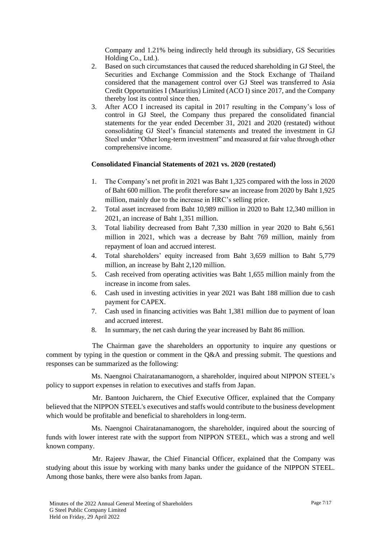Company and 1.21% being indirectly held through its subsidiary, GS Securities Holding Co., Ltd.).

- 2. Based on such circumstances that caused the reduced shareholding in GJ Steel, the Securities and Exchange Commission and the Stock Exchange of Thailand considered that the management control over GJ Steel was transferred to Asia Credit Opportunities I (Mauritius) Limited (ACO I) since 2017, and the Company thereby lost its control since then.
- 3. After ACO I increased its capital in 2017 resulting in the Company's loss of control in GJ Steel, the Company thus prepared the consolidated financial statements for the year ended December 31, 2021 and 2020 (restated) without consolidating GJ Steel's financial statements and treated the investment in GJ Steel under "Other long-term investment" and measured at fair value through other comprehensive income.

#### **Consolidated Financial Statements of 2021 vs. 2020 (restated)**

- 1. The Company's net profit in 2021 was Baht 1,325 compared with the loss in 2020 of Baht 600 million. The profit therefore saw an increase from 2020 by Baht 1,925 million, mainly due to the increase in HRC's selling price.
- 2. Total asset increased from Baht 10,989 million in 2020 to Baht 12,340 million in 2021, an increase of Baht 1,351 million.
- 3. Total liability decreased from Baht 7,330 million in year 2020 to Baht 6,561 million in 2021, which was a decrease by Baht 769 million, mainly from repayment of loan and accrued interest.
- 4. Total shareholders' equity increased from Baht 3,659 million to Baht 5,779 million, an increase by Baht 2,120 million.
- 5. Cash received from operating activities was Baht 1,655 million mainly from the increase in income from sales.
- 6. Cash used in investing activities in year 2021 was Baht 188 million due to cash payment for CAPEX.
- 7. Cash used in financing activities was Baht 1,381 million due to payment of loan and accrued interest.
- 8. In summary, the net cash during the year increased by Baht 86 million.

The Chairman gave the shareholders an opportunity to inquire any questions or comment by typing in the question or comment in the Q&A and pressing submit. The questions and responses can be summarized as the following:

Ms. Naengnoi Chairatanamanogorn, a shareholder, inquired about NIPPON STEEL's policy to support expenses in relation to executives and staffs from Japan.

Mr. Bantoon Juicharern, the Chief Executive Officer, explained that the Company believed that the NIPPON STEEL's executives and staffs would contribute to the business development which would be profitable and beneficial to shareholders in long-term.

Ms. Naengnoi Chairatanamanogorn, the shareholder, inquired about the sourcing of funds with lower interest rate with the support from NIPPON STEEL, which was a strong and well known company.

Mr. Rajeev Jhawar, the Chief Financial Officer, explained that the Company was studying about this issue by working with many banks under the guidance of the NIPPON STEEL. Among those banks, there were also banks from Japan.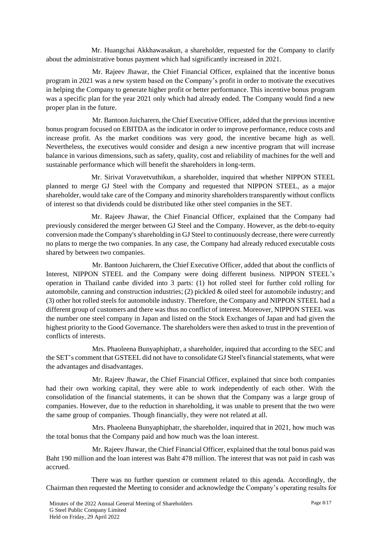Mr. Huangchai Akkhawasakun, a shareholder, requested for the Company to clarify about the administrative bonus payment which had significantly increased in 2021.

Mr. Rajeev Jhawar, the Chief Financial Officer, explained that the incentive bonus program in 2021 was a new system based on the Company's profit in order to motivate the executives in helping the Company to generate higher profit or better performance. This incentive bonus program was a specific plan for the year 2021 only which had already ended. The Company would find a new proper plan in the future.

Mr. Bantoon Juicharern, the Chief Executive Officer, added that the previous incentive bonus program focused on EBITDA as the indicator in order to improve performance, reduce costs and increase profit. As the market conditions was very good, the incentive became high as well. Nevertheless, the executives would consider and design a new incentive program that will increase balance in various dimensions, such as safety, quality, cost and reliability of machines for the well and sustainable performance which will benefit the shareholders in long-term.

Mr. Sirivat Voravetvuthikun, a shareholder, inquired that whether NIPPON STEEL planned to merge GJ Steel with the Company and requested that NIPPON STEEL, as a major shareholder, would take care of the Company and minority shareholders transparently without conflicts of interest so that dividends could be distributed like other steel companies in the SET.

Mr. Rajeev Jhawar, the Chief Financial Officer, explained that the Company had previously considered the merger between GJ Steel and the Company. However, as the debt-to-equity conversion made the Company's shareholding in GJ Steel to continuously decrease, there were currently no plans to merge the two companies. In any case, the Company had already reduced executable costs shared by between two companies.

Mr. Bantoon Juicharern, the Chief Executive Officer, added that about the conflicts of Interest, NIPPON STEEL and the Company were doing different business. NIPPON STEEL's operation in Thailand canbe divided into 3 parts: (1) hot rolled steel for further cold rolling for automobile, canning and construction industries; (2) pickled & oiled steel for automobile industry; and (3) other hot rolled steels for automobile industry. Therefore, the Company and NIPPON STEEL had a different group of customers and there was thus no conflict of interest. Moreover, NIPPON STEEL was the number one steel company in Japan and listed on the Stock Exchanges of Japan and had given the highest priority to the Good Governance. The shareholders were then asked to trust in the prevention of conflicts of interests.

Mrs. Phaoleena Bunyaphiphatr, a shareholder, inquired that according to the SEC and the SET's comment that GSTEEL did not have to consolidate GJ Steel's financial statements, what were the advantages and disadvantages.

Mr. Rajeev Jhawar, the Chief Financial Officer, explained that since both companies had their own working capital, they were able to work independently of each other. With the consolidation of the financial statements, it can be shown that the Company was a large group of companies. However, due to the reduction in shareholding, it was unable to present that the two were the same group of companies. Though financially, they were not related at all.

Mrs. Phaoleena Bunyaphiphatr, the shareholder, inquired that in 2021, how much was the total bonus that the Company paid and how much was the loan interest.

Mr. Rajeev Jhawar, the Chief Financial Officer, explained that the total bonus paid was Baht 190 million and the loan interest was Baht 478 million. The interest that was not paid in cash was accrued.

There was no further question or comment related to this agenda. Accordingly, the Chairman then requested the Meeting to consider and acknowledge the Company's operating results for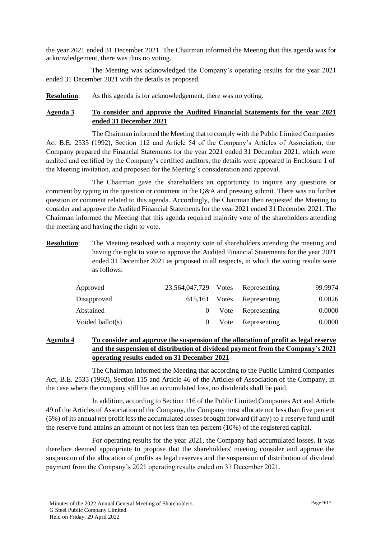the year 2021 ended 31 December 2021. The Chairman informed the Meeting that this agenda was for acknowledgement, there was thus no voting.

The Meeting was acknowledged the Company's operating results for the year 2021 ended 31 December 2021 with the details as proposed.

**Resolution:** As this agenda is for acknowledgement, there was no voting.

## **Agenda 3 To consider and approve the Audited Financial Statements for the year 2021 ended 31 December 2021**

The Chairman informed the Meeting that to comply with the Public Limited Companies Act B.E. 2535 (1992), Section 112 and Article 54 of the Company's Articles of Association, the Company prepared the Financial Statements for the year 2021 ended 31 December 2021, which were audited and certified by the Company's certified auditors, the details were appeared in Enclosure 1 of the Meeting invitation, and proposed for the Meeting's consideration and approval.

The Chairman gave the shareholders an opportunity to inquire any questions or comment by typing in the question or comment in the Q&A and pressing submit. There was no further question or comment related to this agenda. Accordingly, the Chairman then requested the Meeting to consider and approve the Audited Financial Statements for the year 2021 ended 31 December 2021. The Chairman informed the Meeting that this agenda required majority vote of the shareholders attending the meeting and having the right to vote.

**Resolution:** The Meeting resolved with a majority vote of shareholders attending the meeting and having the right to vote to approve the Audited Financial Statements for the year 2021 ended 31 December 2021 as proposed in all respects, in which the voting results were as follows:

| Approved         | 23,564,047,729 Votes Representing |                            | 99.9974 |
|------------------|-----------------------------------|----------------------------|---------|
| Disapproved      |                                   | 615,161 Votes Representing | 0.0026  |
| Abstained        |                                   | 0 Vote Representing        | 0.0000  |
| Voided ballot(s) |                                   | 0 Vote Representing        | 0.0000  |

## **Agenda 4 To consider and approve the suspension of the allocation of profit as legal reserve and the suspension of distribution of dividend payment from the Company's 2021 operating results ended on 31 December 2021**

The Chairman informed the Meeting that according to the Public Limited Companies Act, B.E. 2535 (1992), Section 115 and Article 46 of the Articles of Association of the Company, in the case where the company still has an accumulated loss, no dividends shall be paid.

In addition, according to Section 116 of the Public Limited Companies Act and Article 49 of the Articles of Association of the Company, the Company must allocate not less than five percent (5%) of its annual net profit less the accumulated losses brought forward (if any) to a reserve fund until the reserve fund attains an amount of not less than ten percent (10%) of the registered capital.

For operating results for the year 2021, the Company had accumulated losses. It was therefore deemed appropriate to propose that the shareholders' meeting consider and approve the suspension of the allocation of profits as legal reserves and the suspension of distribution of dividend payment from the Company's 2021 operating results ended on 31 December 2021.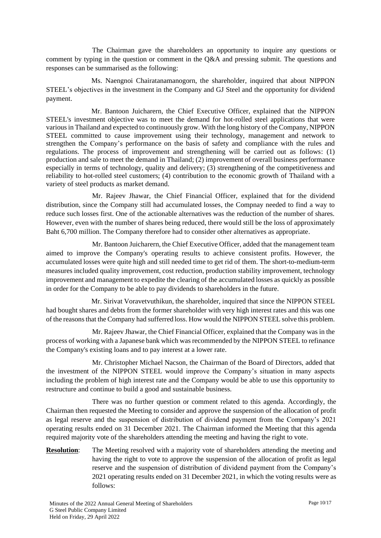The Chairman gave the shareholders an opportunity to inquire any questions or comment by typing in the question or comment in the Q&A and pressing submit. The questions and responses can be summarised as the following:

Ms. Naengnoi Chairatanamanogorn, the shareholder, inquired that about NIPPON STEEL's objectives in the investment in the Company and GJ Steel and the opportunity for dividend payment.

Mr. Bantoon Juicharern, the Chief Executive Officer, explained that the NIPPON STEEL's investment objective was to meet the demand for hot-rolled steel applications that were various in Thailand and expected to continuously grow. With the long history of the Company, NIPPON STEEL committed to cause improvement using their technology, management and network to strengthen the Company's performance on the basis of safety and compliance with the rules and regulations. The process of improvement and strengthening will be carried out as follows: (1) production and sale to meet the demand in Thailand; (2) improvement of overall business performance especially in terms of technology, quality and delivery; (3) strengthening of the competitiveness and reliability to hot-rolled steel customers; (4) contribution to the economic growth of Thailand with a variety of steel products as market demand.

Mr. Rajeev Jhawar, the Chief Financial Officer, explained that for the dividend distribution, since the Company still had accumulated losses, the Compnay needed to find a way to reduce such losses first. One of the actionable alternatives was the reduction of the number of shares. However, even with the number of shares being reduced, there would still be the loss of approximately Baht 6,700 million. The Company therefore had to consider other alternatives as appropriate.

Mr. Bantoon Juicharern, the Chief Executive Officer, added that the management team aimed to improve the Company's operating results to achieve consistent profits. However, the accumulated losses were quite high and still needed time to get rid of them. The short-to-medium-term measures included quality improvement, cost reduction, production stability improvement, technology improvement and management to expedite the clearing of the accumulated losses as quickly as possible in order for the Company to be able to pay dividends to shareholders in the future.

Mr. Sirivat Voravetvuthikun, the shareholder, inquired that since the NIPPON STEEL had bought shares and debts from the former shareholder with very high interest rates and this was one of the reasons that the Company had sufferred loss. How would the NIPPON STEEL solve this problem.

Mr. Rajeev Jhawar, the Chief Financial Officer, explained that the Company was in the process of working with a Japanese bank which was recommended by the NIPPON STEEL to refinance the Company's existing loans and to pay interest at a lower rate.

Mr. Christopher Michael Nacson, the Chairman of the Board of Directors, added that the investment of the NIPPON STEEL would improve the Company's situation in many aspects including the problem of high interest rate and the Company would be able to use this opportunity to restructure and continue to build a good and sustainable business.

There was no further question or comment related to this agenda. Accordingly, the Chairman then requested the Meeting to consider and approve the suspension of the allocation of profit as legal reserve and the suspension of distribution of dividend payment from the Company's 2021 operating results ended on 31 December 2021. The Chairman informed the Meeting that this agenda required majority vote of the shareholders attending the meeting and having the right to vote.

**Resolution:** The Meeting resolved with a majority vote of shareholders attending the meeting and having the right to vote to approve the suspension of the allocation of profit as legal reserve and the suspension of distribution of dividend payment from the Company's 2021 operating results ended on 31 December 2021, in which the voting results were as follows: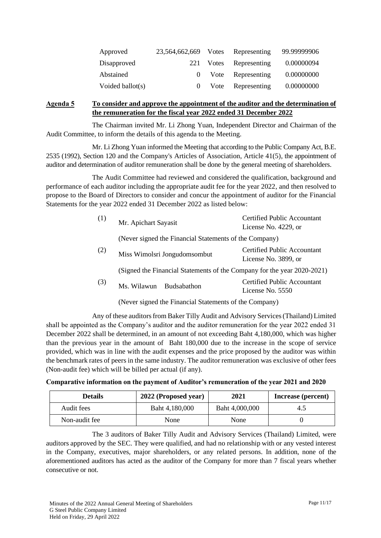| Approved         | 23,564,662,669 Votes Representing |                        | 99.99999906 |
|------------------|-----------------------------------|------------------------|-------------|
| Disapproved      |                                   | 221 Votes Representing | 0.00000094  |
| Abstained        |                                   | 0 Vote Representing    | 0.00000000  |
| Voided ballot(s) | $\Omega$                          | Vote Representing      | 0.00000000  |

## **Agenda 5 To consider and approve the appointment of the auditor and the determination of the remuneration for the fiscal year 2022 ended 31 December 2022**

The Chairman invited Mr. Li Zhong Yuan, Independent Director and Chairman of the Audit Committee, to inform the details of this agenda to the Meeting.

Mr. Li Zhong Yuan informed the Meeting that according to the Public Company Act, B.E. 2535 (1992), Section 120 and the Company's Articles of Association, Article 41(5), the appointment of auditor and determination of auditor remuneration shall be done by the general meeting of shareholders.

The Audit Committee had reviewed and considered the qualification, background and performance of each auditor including the appropriate audit fee for the year 2022, and then resolved to propose to the Board of Directors to consider and concur the appointment of auditor for the Financial Statements for the year 2022 ended 31 December 2022 as listed below:

| (1) | Mr. Apichart Sayasit                                   | <b>Certified Public Accountant</b><br>License No. 4229, or              |
|-----|--------------------------------------------------------|-------------------------------------------------------------------------|
|     | (Never signed the Financial Statements of the Company) |                                                                         |
| (2) | Miss Wimolsri Jongudomsombut                           | <b>Certified Public Accountant</b><br>License No. 3899, or              |
|     |                                                        | (Signed the Financial Statements of the Company for the year 2020-2021) |
| (3) | Ms. Wilawun Budsabathon                                | <b>Certified Public Accountant</b><br>License No. 5550                  |
|     | (Never signed the Financial Statements of the Company) |                                                                         |

Any of these auditors from Baker Tilly Audit and Advisory Services (Thailand) Limited shall be appointed as the Company's auditor and the auditor remuneration for the year 2022 ended 31 December 2022 shall be determined, in an amount of not exceeding Baht 4,180,000, which was higher than the previous year in the amount of Baht 180,000 due to the increase in the scope of service provided, which was in line with the audit expenses and the price proposed by the auditor was within the benchmark rates of peers in the same industry. The auditor remuneration was exclusive of other fees (Non-audit fee) which will be billed per actual (if any).

**Comparative information on the payment of Auditor's remuneration of the year 2021 and 2020**

| <b>Details</b> | 2022 (Proposed year) | 2021           | Increase (percent) |
|----------------|----------------------|----------------|--------------------|
| Audit fees     | Baht 4,180,000       | Baht 4,000,000 | 4.5                |
| Non-audit fee  | None                 | None           |                    |

The 3 auditors of Baker Tilly Audit and Advisory Services (Thailand) Limited, were auditors approved by the SEC. They were qualified, and had no relationship with or any vested interest in the Company, executives, major shareholders, or any related persons. In addition, none of the aforementioned auditors has acted as the auditor of the Company for more than 7 fiscal years whether consecutive or not.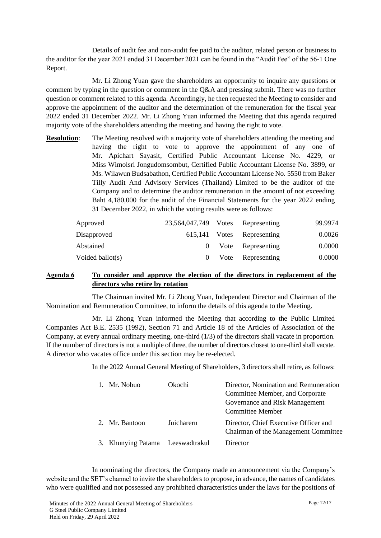Details of audit fee and non-audit fee paid to the auditor, related person or business to the auditor for the year 2021 ended 31 December 2021 can be found in the "Audit Fee" of the 56-1 One Report.

Mr. Li Zhong Yuan gave the shareholders an opportunity to inquire any questions or comment by typing in the question or comment in the Q&A and pressing submit. There was no further question or comment related to this agenda. Accordingly, he then requested the Meeting to consider and approve the appointment of the auditor and the determination of the remuneration for the fiscal year 2022 ended 31 December 2022. Mr. Li Zhong Yuan informed the Meeting that this agenda required majority vote of the shareholders attending the meeting and having the right to vote.

**Resolution:** The Meeting resolved with a majority vote of shareholders attending the meeting and having the right to vote to approve the appointment of any one of Mr. Apichart Sayasit, Certified Public Accountant License No. 4229, or Miss Wimolsri Jongudomsombut, Certified Public Accountant License No. 3899, or Ms. Wilawun Budsabathon, Certified Public Accountant License No. 5550 from Baker Tilly Audit And Advisory Services (Thailand) Limited to be the auditor of the Company and to determine the auditor remuneration in the amount of not exceeding Baht 4,180,000 for the audit of the Financial Statements for the year 2022 ending 31 December 2022, in which the voting results were as follows:

| Approved            | 23,564,047,749 Votes Representing |                            | 99.9974 |
|---------------------|-----------------------------------|----------------------------|---------|
| Disapproved         |                                   | 615,141 Votes Representing | 0.0026  |
| Abstained           |                                   | 0 Vote Representing        | 0.0000  |
| Voided ballot $(s)$ |                                   | 0 Vote Representing        | 0.0000  |

## **Agenda 6 To consider and approve the election of the directors in replacement of the directors who retire by rotation**

The Chairman invited Mr. Li Zhong Yuan, Independent Director and Chairman of the Nomination and Remuneration Committee, to inform the details of this agenda to the Meeting.

Mr. Li Zhong Yuan informed the Meeting that according to the Public Limited Companies Act B.E. 2535 (1992), Section 71 and Article 18 of the Articles of Association of the Company, at every annual ordinary meeting, one-third (1/3) of the directors shall vacate in proportion. If the number of directors is not a multiple of three, the number of directors closest to one-third shall vacate. A director who vacates office under this section may be re-elected.

In the 2022 Annual General Meeting of Shareholders, 3 directors shall retire, as follows:

| 1. Mr. Nobuo                     | Okochi     | Director, Nomination and Remuneration<br>Committee Member, and Corporate<br>Governance and Risk Management<br><b>Committee Member</b> |
|----------------------------------|------------|---------------------------------------------------------------------------------------------------------------------------------------|
| 2. Mr. Bantoon                   | Juicharern | Director, Chief Executive Officer and<br>Chairman of the Management Committee                                                         |
| 3. Khunying Patama Leeswadtrakul |            | Director                                                                                                                              |

In nominating the directors, the Company made an announcement via the Company's website and the SET's channel to invite the shareholders to propose, in advance, the names of candidates who were qualified and not possessed any prohibited characteristics under the laws for the positions of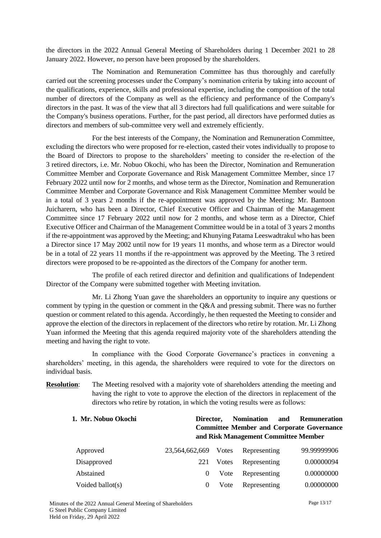the directors in the 2022 Annual General Meeting of Shareholders during 1 December 2021 to 28 January 2022. However, no person have been proposed by the shareholders.

The Nomination and Remuneration Committee has thus thoroughly and carefully carried out the screening processes under the Company's nomination criteria by taking into account of the qualifications, experience, skills and professional expertise, including the composition of the total number of directors of the Company as well as the efficiency and performance of the Company's directors in the past. It was of the view that all 3 directors had full qualifications and were suitable for the Company's business operations. Further, for the past period, all directors have performed duties as directors and members of sub-committee very well and extremely efficiently.

For the best interests of the Company, the Nomination and Remuneration Committee, excluding the directors who were proposed for re-election, casted their votes individually to propose to the Board of Directors to propose to the shareholders' meeting to consider the re-election of the 3 retired directors, i.e. Mr. Nobuo Okochi, who has been the Director, Nomination and Remuneration Committee Member and Corporate Governance and Risk Management Committee Member, since 17 February 2022 until now for 2 months, and whose term as the Director, Nomination and Remuneration Committee Member and Corporate Governance and Risk Management Committee Member would be in a total of 3 years 2 months if the re-appointment was approved by the Meeting; Mr. Bantoon Juicharern, who has been a Director, Chief Executive Officer and Chairman of the Management Committee since 17 February 2022 until now for 2 months, and whose term as a Director, Chief Executive Officer and Chairman of the Management Committee would be in a total of 3 years 2 months if the re-appointment was approved by the Meeting; and Khunying Patama Leeswadtrakul who has been a Director since 17 May 2002 until now for 19 years 11 months, and whose term as a Director would be in a total of 22 years 11 months if the re-appointment was approved by the Meeting. The 3 retired directors were proposed to be re-appointed as the directors of the Company for another term.

The profile of each retired director and definition and qualifications of Independent Director of the Company were submitted together with Meeting invitation.

Mr. Li Zhong Yuan gave the shareholders an opportunity to inquire any questions or comment by typing in the question or comment in the Q&A and pressing submit. There was no further question or comment related to this agenda. Accordingly, he then requested the Meeting to consider and approve the election of the directors in replacement of the directors who retire by rotation. Mr. Li Zhong Yuan informed the Meeting that this agenda required majority vote of the shareholders attending the meeting and having the right to vote.

In compliance with the Good Corporate Governance's practices in convening a shareholders' meeting, in this agenda, the shareholders were required to vote for the directors on individual basis.

**Resolution:** The Meeting resolved with a majority vote of shareholders attending the meeting and having the right to vote to approve the election of the directors in replacement of the directors who retire by rotation, in which the voting results were as follows:

| 1. Mr. Nobuo Okochi | Director.      |       | <b>Nomination</b> | and<br><b>Remuneration</b><br><b>Committee Member and Corporate Governance</b><br>and Risk Management Committee Member |
|---------------------|----------------|-------|-------------------|------------------------------------------------------------------------------------------------------------------------|
| Approved            | 23,564,662,669 | Votes | Representing      | 99.99999906                                                                                                            |
| Disapproved         | 221            | Votes | Representing      | 0.00000094                                                                                                             |
| Abstained           | $\theta$       | Vote  | Representing      | 0.00000000                                                                                                             |
| Voided ballot $(s)$ | $\theta$       | Vote  | Representing      | 0.00000000                                                                                                             |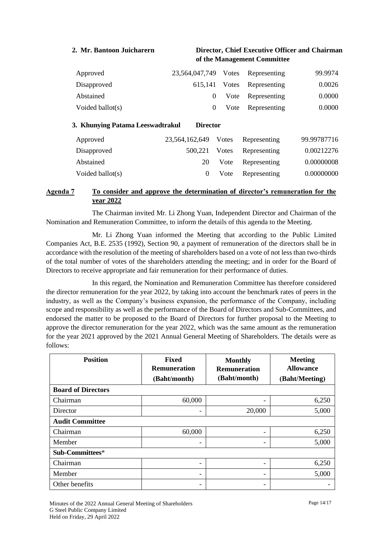### **2. Mr. Bantoon Juicharern Director, Chief Executive Officer and Chairman of the Management Committee**

| Approved         | 23,564,047,749 Votes Representing |                            | 99.9974 |
|------------------|-----------------------------------|----------------------------|---------|
| Disapproved      |                                   | 615,141 Votes Representing | 0.0026  |
| Abstained        |                                   | 0 Vote Representing        | 0.0000  |
| Voided ballot(s) |                                   | 0 Vote Representing        | 0.0000  |

# **3. Khunying Patama Leeswadtrakul Director** Approved 22,564,162,649 Votes Representing 99.997716

| Approved            | $23.504.102.049$ votes Representing |                            | 99.99787710 |
|---------------------|-------------------------------------|----------------------------|-------------|
| Disapproved         |                                     | 500,221 Votes Representing | 0.00212276  |
| Abstained           | 20                                  | Vote Representing          | 0.00000008  |
| Voided ballot $(s)$ |                                     | Vote Representing          | 0.00000000  |

## **Agenda 7 To consider and approve the determination of director's remuneration for the year 2022**

The Chairman invited Mr. Li Zhong Yuan, Independent Director and Chairman of the Nomination and Remuneration Committee, to inform the details of this agenda to the Meeting.

Mr. Li Zhong Yuan informed the Meeting that according to the Public Limited Companies Act, B.E. 2535 (1992), Section 90, a payment of remuneration of the directors shall be in accordance with the resolution of the meeting of shareholders based on a vote of not less than two-thirds of the total number of votes of the shareholders attending the meeting; and in order for the Board of Directors to receive appropriate and fair remuneration for their performance of duties.

In this regard, the Nomination and Remuneration Committee has therefore considered the director remuneration for the year 2022, by taking into account the benchmark rates of peers in the industry, as well as the Company's business expansion, the performance of the Company, including scope and responsibility as well as the performance of the Board of Directors and Sub-Committees, and endorsed the matter to be proposed to the Board of Directors for further proposal to the Meeting to approve the director remuneration for the year 2022, which was the same amount as the remuneration for the year 2021 approved by the 2021 Annual General Meeting of Shareholders. The details were as follows:

| <b>Position</b>           | <b>Fixed</b><br><b>Remuneration</b><br>(Baht/month) | <b>Monthly</b><br><b>Remuneration</b><br>(Baht/month) | <b>Meeting</b><br><b>Allowance</b><br>(Baht/Meeting) |  |  |  |  |  |
|---------------------------|-----------------------------------------------------|-------------------------------------------------------|------------------------------------------------------|--|--|--|--|--|
| <b>Board of Directors</b> |                                                     |                                                       |                                                      |  |  |  |  |  |
| Chairman                  | 60,000                                              | -                                                     | 6,250                                                |  |  |  |  |  |
| Director                  |                                                     | 20,000                                                | 5,000                                                |  |  |  |  |  |
| <b>Audit Committee</b>    |                                                     |                                                       |                                                      |  |  |  |  |  |
| Chairman                  | 60,000                                              | -                                                     | 6,250                                                |  |  |  |  |  |
| Member                    | -                                                   | -                                                     | 5,000                                                |  |  |  |  |  |
| Sub-Committees*           |                                                     |                                                       |                                                      |  |  |  |  |  |
| Chairman                  | -                                                   | -                                                     | 6,250                                                |  |  |  |  |  |
| Member                    | -                                                   | -                                                     | 5,000                                                |  |  |  |  |  |
| Other benefits            | -                                                   | -                                                     |                                                      |  |  |  |  |  |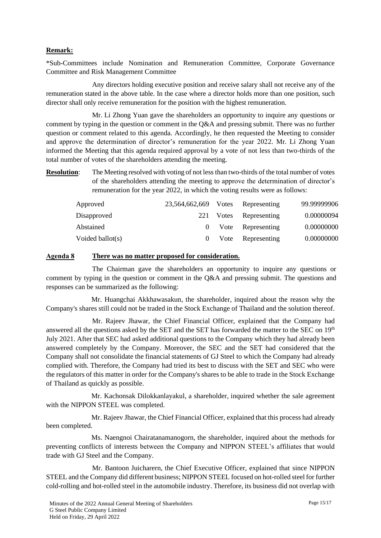## **Remark:**

\*Sub-Committees include Nomination and Remuneration Committee, Corporate Governance Committee and Risk Management Committee

Any directors holding executive position and receive salary shall not receive any of the remuneration stated in the above table. In the case where a director holds more than one position, such director shall only receive remuneration for the position with the highest remuneration.

Mr. Li Zhong Yuan gave the shareholders an opportunity to inquire any questions or comment by typing in the question or comment in the Q&A and pressing submit. There was no further question or comment related to this agenda. Accordingly, he then requested the Meeting to consider and approve the determination of director's remuneration for the year 2022. Mr. Li Zhong Yuan informed the Meeting that this agenda required approval by a vote of not less than two-thirds of the total number of votes of the shareholders attending the meeting.

**Resolution**: The Meeting resolved with voting of not less than two-thirds of the total number of votes of the shareholders attending the meeting to approve the determination of director's remuneration for the year 2022, in which the voting results were as follows:

| Approved         | 23,564,662,669 Votes | Representing           | 99.99999906 |
|------------------|----------------------|------------------------|-------------|
| Disapproved      |                      | 221 Votes Representing | 0.00000094  |
| Abstained        |                      | 0 Vote Representing    | 0.00000000  |
| Voided ballot(s) |                      | 0 Vote Representing    | 0.00000000  |

#### **Agenda 8 There was no matter proposed for consideration.**

The Chairman gave the shareholders an opportunity to inquire any questions or comment by typing in the question or comment in the Q&A and pressing submit. The questions and responses can be summarized as the following:

Mr. Huangchai Akkhawasakun, the shareholder, inquired about the reason why the Company's shares still could not be traded in the Stock Exchange of Thailand and the solution thereof.

Mr. Rajeev Jhawar, the Chief Financial Officer, explained that the Company had answered all the questions asked by the SET and the SET has forwarded the matter to the SEC on 19<sup>th</sup> July 2021. After that SEC had asked additional questions to the Company which they had already been answered completely by the Company. Moreover, the SEC and the SET had considered that the Company shall not consolidate the financial statements of GJ Steel to which the Company had already complied with. Therefore, the Company had tried its best to discuss with the SET and SEC who were the regulators of this matter in order for the Company's shares to be able to trade in the Stock Exchange of Thailand as quickly as possible.

Mr. Kachonsak Dilokkanlayakul, a shareholder, inquired whether the sale agreement with the NIPPON STEEL was completed.

Mr. Rajeev Jhawar, the Chief Financial Officer, explained that this process had already been completed.

Ms. Naengnoi Chairatanamanogorn, the shareholder, inquired about the methods for preventing conflicts of interests between the Company and NIPPON STEEL's affiliates that would trade with GJ Steel and the Company.

Mr. Bantoon Juicharern, the Chief Executive Officer, explained that since NIPPON STEEL and the Company did different business; NIPPON STEEL focused on hot-rolled steel for further cold-rolling and hot-rolled steel in the automobile industry. Therefore, its business did not overlap with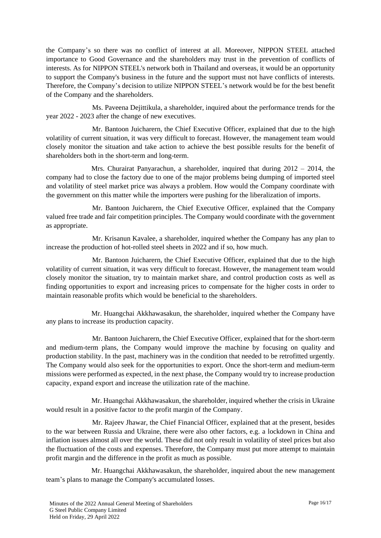the Company's so there was no conflict of interest at all. Moreover, NIPPON STEEL attached importance to Good Governance and the shareholders may trust in the prevention of conflicts of interests. As for NIPPON STEEL's network both in Thailand and overseas, it would be an opportunity to support the Company's business in the future and the support must not have conflicts of interests. Therefore, the Company's decision to utilize NIPPON STEEL's network would be for the best benefit of the Company and the shareholders.

Ms. Paveena Dejittikula, a shareholder, inquired about the performance trends for the year 2022 - 2023 after the change of new executives.

Mr. Bantoon Juicharern, the Chief Executive Officer, explained that due to the high volatility of current situation, it was very difficult to forecast. However, the management team would closely monitor the situation and take action to achieve the best possible results for the benefit of shareholders both in the short-term and long-term.

Mrs. Churairat Panyarachun, a shareholder, inquired that during  $2012 - 2014$ , the company had to close the factory due to one of the major problems being dumping of imported steel and volatility of steel market price was always a problem. How would the Company coordinate with the government on this matter while the importers were pushing for the liberalization of imports.

Mr. Bantoon Juicharern, the Chief Executive Officer, explained that the Company valued free trade and fair competition principles. The Company would coordinate with the government as appropriate.

Mr. Krisanun Kavalee, a shareholder, inquired whether the Company has any plan to increase the production of hot-rolled steel sheets in 2022 and if so, how much.

Mr. Bantoon Juicharern, the Chief Executive Officer, explained that due to the high volatility of current situation, it was very difficult to forecast. However, the management team would closely monitor the situation, try to maintain market share, and control production costs as well as finding opportunities to export and increasing prices to compensate for the higher costs in order to maintain reasonable profits which would be beneficial to the shareholders.

Mr. Huangchai Akkhawasakun, the shareholder, inquired whether the Company have any plans to increase its production capacity.

Mr. Bantoon Juicharern, the Chief Executive Officer, explained that for the short-term and medium-term plans, the Company would improve the machine by focusing on quality and production stability. In the past, machinery was in the condition that needed to be retrofitted urgently. The Company would also seek for the opportunities to export. Once the short-term and medium-term missions were performed as expected, in the next phase, the Company would try to increase production capacity, expand export and increase the utilization rate of the machine.

Mr. Huangchai Akkhawasakun, the shareholder, inquired whether the crisis in Ukraine would result in a positive factor to the profit margin of the Company.

Mr. Rajeev Jhawar, the Chief Financial Officer, explained that at the present, besides to the war between Russia and Ukraine, there were also other factors, e.g. a lockdown in China and inflation issues almost all over the world. These did not only result in volatility of steel prices but also the fluctuation of the costs and expenses. Therefore, the Company must put more attempt to maintain profit margin and the difference in the profit as much as possible.

Mr. Huangchai Akkhawasakun, the shareholder, inquired about the new management team's plans to manage the Company's accumulated losses.